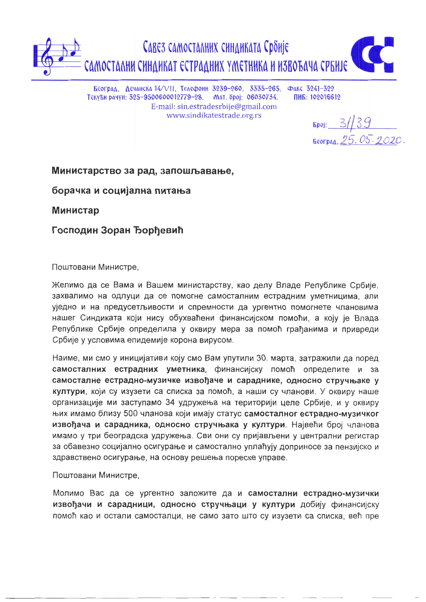Савез самосталних синдиката Србије самостални синдикат естрадних уметника и извоъача србије

Београд. Дечанска 14/VII. Телефони 3239-260. 3335-265. Факс 3241-322 Текући рачун: 325-9500600012779-28. Мат. број: 06030734, E-mail: sin.estradesrbije@gmail.com www.sindikatestrade.org.rs

ПИБ: 102016612

 $5poj: 3/39$ Београд. 25.05.2020.

## Министарство за рад, запошљавање,

борачка и социјална питања

Министар

Господин Зоран Ђорђевић

Поштовани Министре.

Желимо да се Вама и Вашем министарству, као делу Владе Републике Србије, захвалимо на одлуци да се помогне самосталним естрадним уметницима, али уједно и на предусетљивости и спремности да ургентно помогнете члановима нашег Синдиката који нису обухваћени финансијском помоћи, а коју је Влада Републике Србије определила у оквиру мера за помоћ грађанима и привреди Србије у условима епидемије корона вирусом.

Наиме, ми смо у иницијативи коју смо Вам упутили 30. марта, затражили да поред самосталних естрадних уметника, финансијску помоћ определите и за самосталне естрадно-музичке извођаче и сараднике, односно стручњаке у култури, који су изузети са списка за помоћ, а наши су чланови. У оквиру наше организације ми заступамо 34 удружења на територији целе Србије, и у оквиру њих имамо близу 500 чланова који имају статус самосталног естрадно-музичког извођача и сарадника, односно стручњака у култури. Највећи број чланова имамо у три београдска удружења. Сви они су пријављени у централни регистар за обавезно социјално осигурање и самостално уплаћују доприносе за пензијско и здравствено осигурање, на основу решења пореске управе.

## Поштовани Министре,

Молимо Вас да се ургентно заложите да и самостални естрадно-музички извођачи и сарадници, односно стручњаци у култури добију финансијску помоћ као и остали самосталци, не само зато што су изузети са списка, већ пре